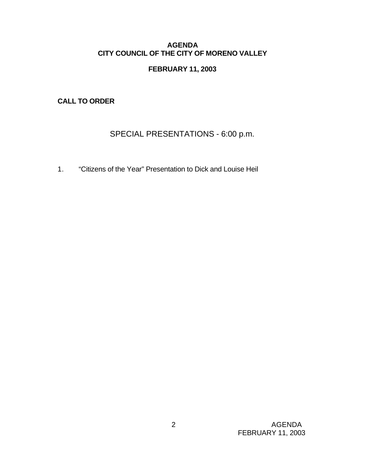## **AGENDA CITY COUNCIL OF THE CITY OF MORENO VALLEY**

## **FEBRUARY 11, 2003**

**CALL TO ORDER**

# SPECIAL PRESENTATIONS - 6:00 p.m.

1. "Citizens of the Year" Presentation to Dick and Louise Heil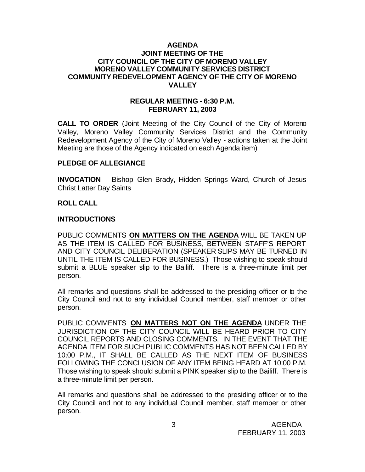#### **AGENDA JOINT MEETING OF THE CITY COUNCIL OF THE CITY OF MORENO VALLEY MORENO VALLEY COMMUNITY SERVICES DISTRICT COMMUNITY REDEVELOPMENT AGENCY OF THE CITY OF MORENO VALLEY**

#### **REGULAR MEETING - 6:30 P.M. FEBRUARY 11, 2003**

**CALL TO ORDER** (Joint Meeting of the City Council of the City of Moreno Valley, Moreno Valley Community Services District and the Community Redevelopment Agency of the City of Moreno Valley - actions taken at the Joint Meeting are those of the Agency indicated on each Agenda item)

### **PLEDGE OF ALLEGIANCE**

**INVOCATION** – Bishop Glen Brady, Hidden Springs Ward, Church of Jesus Christ Latter Day Saints

### **ROLL CALL**

### **INTRODUCTIONS**

PUBLIC COMMENTS **ON MATTERS ON THE AGENDA** WILL BE TAKEN UP AS THE ITEM IS CALLED FOR BUSINESS, BETWEEN STAFF'S REPORT AND CITY COUNCIL DELIBERATION (SPEAKER SLIPS MAY BE TURNED IN UNTIL THE ITEM IS CALLED FOR BUSINESS.) Those wishing to speak should submit a BLUE speaker slip to the Bailiff. There is a three-minute limit per person.

All remarks and questions shall be addressed to the presiding officer or to the City Council and not to any individual Council member, staff member or other person.

PUBLIC COMMENTS **ON MATTERS NOT ON THE AGENDA** UNDER THE JURISDICTION OF THE CITY COUNCIL WILL BE HEARD PRIOR TO CITY COUNCIL REPORTS AND CLOSING COMMENTS. IN THE EVENT THAT THE AGENDA ITEM FOR SUCH PUBLIC COMMENTS HAS NOT BEEN CALLED BY 10:00 P.M., IT SHALL BE CALLED AS THE NEXT ITEM OF BUSINESS FOLLOWING THE CONCLUSION OF ANY ITEM BEING HEARD AT 10:00 P.M. Those wishing to speak should submit a PINK speaker slip to the Bailiff. There is a three-minute limit per person.

All remarks and questions shall be addressed to the presiding officer or to the City Council and not to any individual Council member, staff member or other person.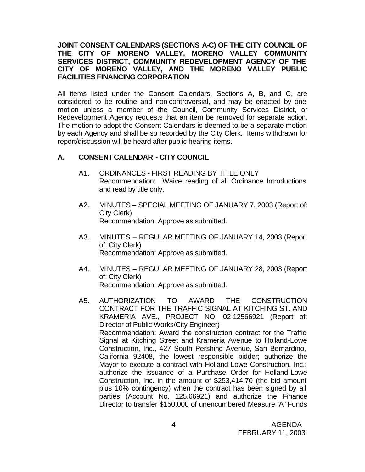### **JOINT CONSENT CALENDARS (SECTIONS A-C) OF THE CITY COUNCIL OF THE CITY OF MORENO VALLEY, MORENO VALLEY COMMUNITY SERVICES DISTRICT, COMMUNITY REDEVELOPMENT AGENCY OF THE CITY OF MORENO VALLEY, AND THE MORENO VALLEY PUBLIC FACILITIES FINANCING CORPORATION**

All items listed under the Consent Calendars, Sections A, B, and C, are considered to be routine and non-controversial, and may be enacted by one motion unless a member of the Council, Community Services District, or Redevelopment Agency requests that an item be removed for separate action. The motion to adopt the Consent Calendars is deemed to be a separate motion by each Agency and shall be so recorded by the City Clerk. Items withdrawn for report/discussion will be heard after public hearing items.

## **A. CONSENT CALENDAR** - **CITY COUNCIL**

- A1. ORDINANCES FIRST READING BY TITLE ONLY Recommendation: Waive reading of all Ordinance Introductions and read by title only.
- A2. MINUTES SPECIAL MEETING OF JANUARY 7, 2003 (Report of: City Clerk) Recommendation: Approve as submitted.
- A3. MINUTES REGULAR MEETING OF JANUARY 14, 2003 (Report of: City Clerk) Recommendation: Approve as submitted.
- A4. MINUTES REGULAR MEETING OF JANUARY 28, 2003 (Report of: City Clerk) Recommendation: Approve as submitted.
- A5. AUTHORIZATION TO AWARD THE CONSTRUCTION CONTRACT FOR THE TRAFFIC SIGNAL AT KITCHING ST. AND KRAMERIA AVE., PROJECT NO. 02-12566921 (Report of: Director of Public Works/City Engineer) Recommendation: Award the construction contract for the Traffic Signal at Kitching Street and Krameria Avenue to Holland-Lowe Construction, Inc., 427 South Pershing Avenue, San Bernardino, California 92408, the lowest responsible bidder; authorize the Mayor to execute a contract with Holland-Lowe Construction, Inc.; authorize the issuance of a Purchase Order for Holland-Lowe Construction, Inc. in the amount of \$253,414.70 (the bid amount plus 10% contingency) when the contract has been signed by all parties (Account No. 125.66921) and authorize the Finance Director to transfer \$150,000 of unencumbered Measure "A" Funds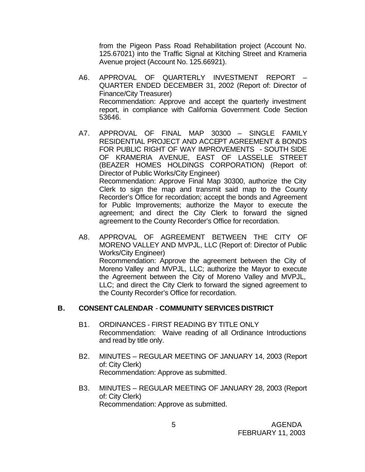from the Pigeon Pass Road Rehabilitation project (Account No. 125.67021) into the Traffic Signal at Kitching Street and Krameria Avenue project (Account No. 125.66921).

- A6. APPROVAL OF QUARTERLY INVESTMENT REPORT QUARTER ENDED DECEMBER 31, 2002 (Report of: Director of Finance/City Treasurer) Recommendation: Approve and accept the quarterly investment report, in compliance with California Government Code Section 53646.
- A7. APPROVAL OF FINAL MAP 30300 SINGLE FAMILY RESIDENTIAL PROJECT AND ACCEPT AGREEMENT & BONDS FOR PUBLIC RIGHT OF WAY IMPROVEMENTS - SOUTH SIDE OF KRAMERIA AVENUE, EAST OF LASSELLE STREET (BEAZER HOMES HOLDINGS CORPORATION) (Report of: Director of Public Works/City Engineer) Recommendation: Approve Final Map 30300, authorize the City Clerk to sign the map and transmit said map to the County Recorder's Office for recordation; accept the bonds and Agreement for Public Improvements; authorize the Mayor to execute the agreement; and direct the City Clerk to forward the signed agreement to the County Recorder's Office for recordation.
- A8. APPROVAL OF AGREEMENT BETWEEN THE CITY OF MORENO VALLEY AND MVPJL, LLC (Report of: Director of Public Works/City Engineer) Recommendation: Approve the agreement between the City of Moreno Valley and MVPJL, LLC; authorize the Mayor to execute the Agreement between the City of Moreno Valley and MVPJL, LLC; and direct the City Clerk to forward the signed agreement to the County Recorder's Office for recordation.

## **B. CONSENT CALENDAR** - **COMMUNITY SERVICES DISTRICT**

- B1. ORDINANCES FIRST READING BY TITLE ONLY Recommendation: Waive reading of all Ordinance Introductions and read by title only.
- B2. MINUTES REGULAR MEETING OF JANUARY 14, 2003 (Report of: City Clerk) Recommendation: Approve as submitted.
- B3. MINUTES REGULAR MEETING OF JANUARY 28, 2003 (Report of: City Clerk) Recommendation: Approve as submitted.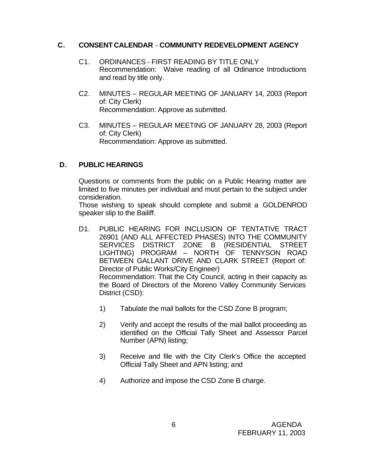## **C. CONSENT CALENDAR** - **COMMUNITY REDEVELOPMENT AGENCY**

- C1. ORDINANCES FIRST READING BY TITLE ONLY Recommendation: Waive reading of all Ordinance Introductions and read by title only.
- C2. MINUTES REGULAR MEETING OF JANUARY 14, 2003 (Report of: City Clerk) Recommendation: Approve as submitted.
- C3. MINUTES REGULAR MEETING OF JANUARY 28, 2003 (Report of: City Clerk) Recommendation: Approve as submitted.

# **D. PUBLIC HEARINGS**

Questions or comments from the public on a Public Hearing matter are limited to five minutes per individual and must pertain to the subject under consideration.

Those wishing to speak should complete and submit a GOLDENROD speaker slip to the Bailiff.

D1. PUBLIC HEARING FOR INCLUSION OF TENTATIVE TRACT 26901 (AND ALL AFFECTED PHASES) INTO THE COMMUNITY SERVICES DISTRICT ZONE B (RESIDENTIAL STREET LIGHTING) PROGRAM – NORTH OF TENNYSON ROAD BETWEEN GALLANT DRIVE AND CLARK STREET (Report of: Director of Public Works/City Engineer)

Recommendation: That the City Council, acting in their capacity as the Board of Directors of the Moreno Valley Community Services District (CSD):

- 1) Tabulate the mail ballots for the CSD Zone B program;
- 2) Verify and accept the results of the mail ballot proceeding as identified on the Official Tally Sheet and Assessor Parcel Number (APN) listing;
- 3) Receive and file with the City Clerk's Office the accepted Official Tally Sheet and APN listing; and
- 4) Authorize and impose the CSD Zone B charge.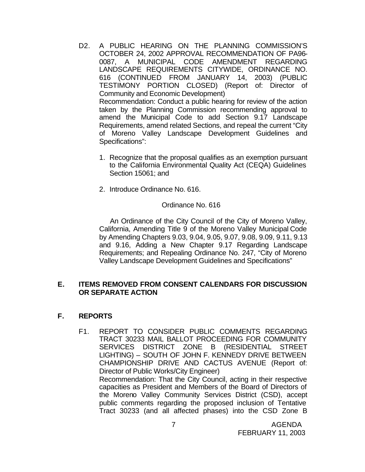- D2. A PUBLIC HEARING ON THE PLANNING COMMISSION'S OCTOBER 24, 2002 APPROVAL RECOMMENDATION OF PA96- 0087, A MUNICIPAL CODE AMENDMENT REGARDING LANDSCAPE REQUIREMENTS CITYWIDE, ORDINANCE NO. 616 (CONTINUED FROM JANUARY 14, 2003) (PUBLIC TESTIMONY PORTION CLOSED) (Report of: Director of Community and Economic Development) Recommendation: Conduct a public hearing for review of the action taken by the Planning Commission recommending approval to amend the Municipal Code to add Section 9.17 Landscape Requirements, amend related Sections, and repeal the current "City of Moreno Valley Landscape Development Guidelines and Specifications":
	- 1. Recognize that the proposal qualifies as an exemption pursuant to the California Environmental Quality Act (CEQA) Guidelines Section 15061; and
	- 2. Introduce Ordinance No. 616.

### Ordinance No. 616

 An Ordinance of the City Council of the City of Moreno Valley, California, Amending Title 9 of the Moreno Valley Municipal Code by Amending Chapters 9.03, 9.04, 9.05, 9.07, 9.08, 9.09, 9.11, 9.13 and 9.16, Adding a New Chapter 9.17 Regarding Landscape Requirements; and Repealing Ordinance No. 247, "City of Moreno Valley Landscape Development Guidelines and Specifications"

### **E. ITEMS REMOVED FROM CONSENT CALENDARS FOR DISCUSSION OR SEPARATE ACTION**

## **F. REPORTS**

F1. REPORT TO CONSIDER PUBLIC COMMENTS REGARDING TRACT 30233 MAIL BALLOT PROCEEDING FOR COMMUNITY SERVICES DISTRICT ZONE B (RESIDENTIAL STREET LIGHTING) – SOUTH OF JOHN F. KENNEDY DRIVE BETWEEN CHAMPIONSHIP DRIVE AND CACTUS AVENUE (Report of: Director of Public Works/City Engineer) Recommendation: That the City Council, acting in their respective capacities as President and Members of the Board of Directors of the Moreno Valley Community Services District (CSD), accept public comments regarding the proposed inclusion of Tentative Tract 30233 (and all affected phases) into the CSD Zone B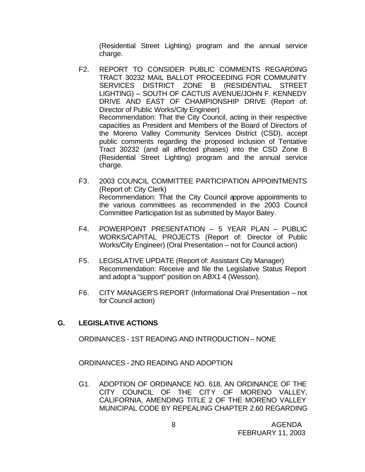(Residential Street Lighting) program and the annual service charge.

- F2. REPORT TO CONSIDER PUBLIC COMMENTS REGARDING TRACT 30232 MAIL BALLOT PROCEEDING FOR COMMUNITY SERVICES DISTRICT ZONE B (RESIDENTIAL STREET LIGHTING) – SOUTH OF CACTUS AVENUE/JOHN F. KENNEDY DRIVE AND EAST OF CHAMPIONSHIP DRIVE (Report of: Director of Public Works/City Engineer) Recommendation: That the City Council, acting in their respective capacities as President and Members of the Board of Directors of the Moreno Valley Community Services District (CSD), accept public comments regarding the proposed inclusion of Tentative Tract 30232 (and all affected phases) into the CSD Zone B (Residential Street Lighting) program and the annual service charge.
- F3. 2003 COUNCIL COMMITTEE PARTICIPATION APPOINTMENTS (Report of: City Clerk) Recommendation: That the City Council approve appointments to the various committees as recommended in the 2003 Council Committee Participation list as submitted by Mayor Batey.
- F4. POWERPOINT PRESENTATION 5 YEAR PLAN PUBLIC WORKS/CAPITAL PROJECTS (Report of: Director of Public Works/City Engineer) (Oral Presentation – not for Council action)
- F5. LEGISLATIVE UPDATE (Report of: Assistant City Manager) Recommendation: Receive and file the Legislative Status Report and adopt a "support" position on ABX1 4 (Wesson).
- F6. CITY MANAGER'S REPORT (Informational Oral Presentation not for Council action)

## **G. LEGISLATIVE ACTIONS**

ORDINANCES - 1ST READING AND INTRODUCTION – NONE

ORDINANCES - 2ND READING AND ADOPTION

G1. ADOPTION OF ORDINANCE NO. 618, AN ORDINANCE OF THE CITY COUNCIL OF THE CITY OF MORENO VALLEY, CALIFORNIA, AMENDING TITLE 2 OF THE MORENO VALLEY MUNICIPAL CODE BY REPEALING CHAPTER 2.60 REGARDING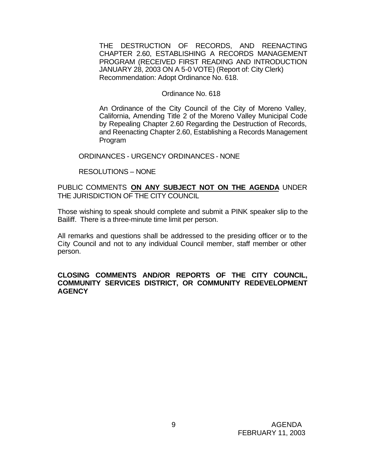THE DESTRUCTION OF RECORDS, AND REENACTING CHAPTER 2.60, ESTABLISHING A RECORDS MANAGEMENT PROGRAM (RECEIVED FIRST READING AND INTRODUCTION JANUARY 28, 2003 ON A 5-0 VOTE) (Report of: City Clerk) Recommendation: Adopt Ordinance No. 618.

#### Ordinance No. 618

An Ordinance of the City Council of the City of Moreno Valley, California, Amending Title 2 of the Moreno Valley Municipal Code by Repealing Chapter 2.60 Regarding the Destruction of Records, and Reenacting Chapter 2.60, Establishing a Records Management Program

ORDINANCES - URGENCY ORDINANCES - NONE

RESOLUTIONS – NONE

PUBLIC COMMENTS **ON ANY SUBJECT NOT ON THE AGENDA** UNDER THE JURISDICTION OF THE CITY COUNCIL

Those wishing to speak should complete and submit a PINK speaker slip to the Bailiff. There is a three-minute time limit per person.

All remarks and questions shall be addressed to the presiding officer or to the City Council and not to any individual Council member, staff member or other person.

#### **CLOSING COMMENTS AND/OR REPORTS OF THE CITY COUNCIL, COMMUNITY SERVICES DISTRICT, OR COMMUNITY REDEVELOPMENT AGENCY**